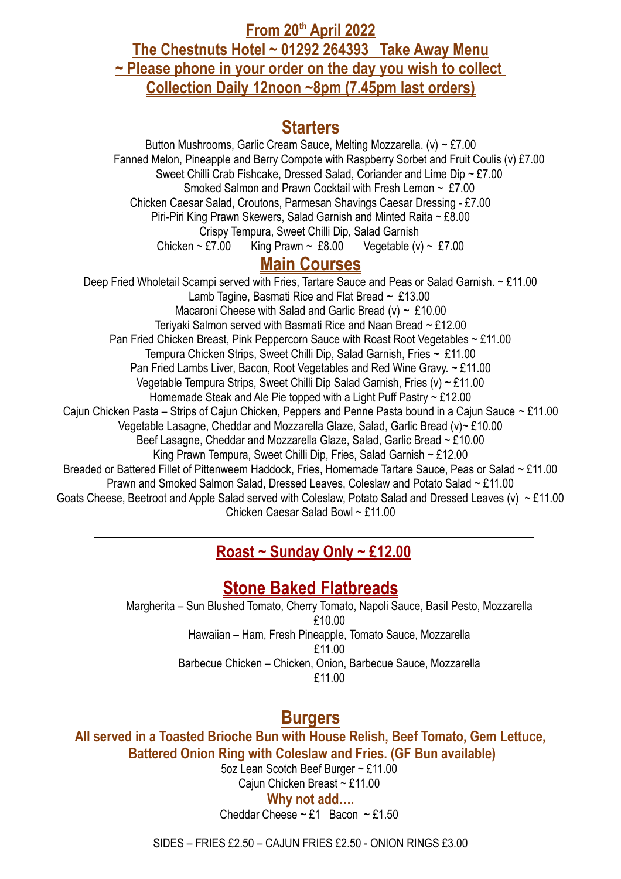**From 20th April 2022 The Chestnuts Hotel ~ 01292 264393 Take Away Menu ~ Please phone in your order on the day you wish to collect Collection Daily 12noon ~8pm (7.45pm last orders)**

## **Starters**

Button Mushrooms, Garlic Cream Sauce, Melting Mozzarella. (v) ~ £7.00 Fanned Melon, Pineapple and Berry Compote with Raspberry Sorbet and Fruit Coulis (v) £7.00 Sweet Chilli Crab Fishcake, Dressed Salad, Coriander and Lime Dip ~ £7.00 Smoked Salmon and Prawn Cocktail with Fresh Lemon ~ £7.00 Chicken Caesar Salad, Croutons, Parmesan Shavings Caesar Dressing - £7.00 Piri-Piri King Prawn Skewers, Salad Garnish and Minted Raita ~ £8.00 Crispy Tempura, Sweet Chilli Dip, Salad Garnish Chicken ~ £7.00 King Prawn ~ £8.00 Vegetable (v) ~ £7.00 **Main Courses** Deep Fried Wholetail Scampi served with Fries, Tartare Sauce and Peas or Salad Garnish. ~ £11.00 Lamb Tagine, Basmati Rice and Flat Bread  $\sim$  £13.00 Macaroni Cheese with Salad and Garlic Bread (v)  $\sim$  £10.00 Teriyaki Salmon served with Basmati Rice and Naan Bread ~ £12.00 Pan Fried Chicken Breast, Pink Peppercorn Sauce with Roast Root Vegetables ~ £11.00 Tempura Chicken Strips, Sweet Chilli Dip, Salad Garnish, Fries ~ £11.00 Pan Fried Lambs Liver, Bacon, Root Vegetables and Red Wine Gravy. ~ £11.00 Vegetable Tempura Strips, Sweet Chilli Dip Salad Garnish, Fries (v) ~ £11.00 Homemade Steak and Ale Pie topped with a Light Puff Pastry ~ £12.00 Cajun Chicken Pasta – Strips of Cajun Chicken, Peppers and Penne Pasta bound in a Cajun Sauce ~ £11.00 Vegetable Lasagne, Cheddar and Mozzarella Glaze, Salad, Garlic Bread (v)~ £10.00 Beef Lasagne, Cheddar and Mozzarella Glaze, Salad, Garlic Bread ~ £10.00

King Prawn Tempura, Sweet Chilli Dip, Fries, Salad Garnish ~ £12.00

Breaded or Battered Fillet of Pittenweem Haddock, Fries, Homemade Tartare Sauce, Peas or Salad ~ £11.00

Prawn and Smoked Salmon Salad, Dressed Leaves, Coleslaw and Potato Salad ~ £11.00

Goats Cheese, Beetroot and Apple Salad served with Coleslaw, Potato Salad and Dressed Leaves (v) ~ £11.00 Chicken Caesar Salad Bowl ~ £11.00

# **Roast ~ Sunday Only ~ £12.00**

# **Stone Baked Flatbreads**

Margherita – Sun Blushed Tomato, Cherry Tomato, Napoli Sauce, Basil Pesto, Mozzarella £10.00 Hawaiian – Ham, Fresh Pineapple, Tomato Sauce, Mozzarella £11.00 Barbecue Chicken – Chicken, Onion, Barbecue Sauce, Mozzarella £11.00

# **Burgers**

**All served in a Toasted Brioche Bun with House Relish, Beef Tomato, Gem Lettuce, Battered Onion Ring with Coleslaw and Fries. (GF Bun available)**

5oz Lean Scotch Beef Burger ~ £11.00 Cajun Chicken Breast ~ £11.00

**Why not add….**

Cheddar Cheese  $\sim$  £1 Bacon  $\sim$  £1.50

SIDES – FRIES £2.50 – CAJUN FRIES £2.50 - ONION RINGS £3.00